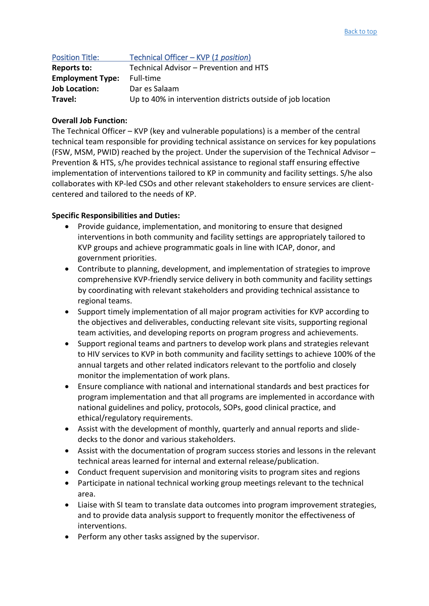| <b>Position Title:</b>  | Technical Officer - KVP (1 position)                        |
|-------------------------|-------------------------------------------------------------|
| <b>Reports to:</b>      | Technical Advisor - Prevention and HTS                      |
| <b>Employment Type:</b> | Full-time                                                   |
| <b>Job Location:</b>    | Dar es Salaam                                               |
| Travel:                 | Up to 40% in intervention districts outside of job location |

## **Overall Job Function:**

The Technical Officer – KVP (key and vulnerable populations) is a member of the central technical team responsible for providing technical assistance on services for key populations (FSW, MSM, PWID) reached by the project. Under the supervision of the Technical Advisor – Prevention & HTS, s/he provides technical assistance to regional staff ensuring effective implementation of interventions tailored to KP in community and facility settings. S/he also collaborates with KP-led CSOs and other relevant stakeholders to ensure services are clientcentered and tailored to the needs of KP.

## **Specific Responsibilities and Duties:**

- Provide guidance, implementation, and monitoring to ensure that designed interventions in both community and facility settings are appropriately tailored to KVP groups and achieve programmatic goals in line with ICAP, donor, and government priorities.
- Contribute to planning, development, and implementation of strategies to improve comprehensive KVP-friendly service delivery in both community and facility settings by coordinating with relevant stakeholders and providing technical assistance to regional teams.
- Support timely implementation of all major program activities for KVP according to the objectives and deliverables, conducting relevant site visits, supporting regional team activities, and developing reports on program progress and achievements.
- Support regional teams and partners to develop work plans and strategies relevant to HIV services to KVP in both community and facility settings to achieve 100% of the annual targets and other related indicators relevant to the portfolio and closely monitor the implementation of work plans.
- Ensure compliance with national and international standards and best practices for program implementation and that all programs are implemented in accordance with national guidelines and policy, protocols, SOPs, good clinical practice, and ethical/regulatory requirements.
- Assist with the development of monthly, quarterly and annual reports and slidedecks to the donor and various stakeholders.
- Assist with the documentation of program success stories and lessons in the relevant technical areas learned for internal and external release/publication.
- Conduct frequent supervision and monitoring visits to program sites and regions
- Participate in national technical working group meetings relevant to the technical area.
- Liaise with SI team to translate data outcomes into program improvement strategies, and to provide data analysis support to frequently monitor the effectiveness of interventions.
- Perform any other tasks assigned by the supervisor.